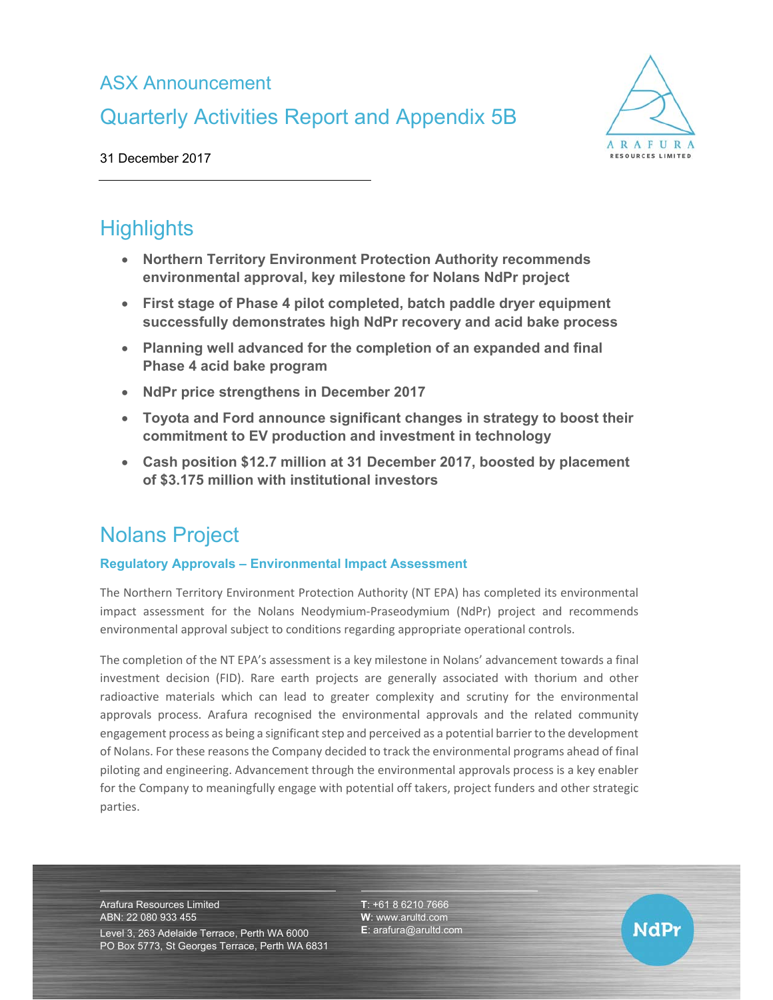# ASX Announcement

# Quarterly Activities Report and Appendix 5B



31 December 2017

# **Highlights**

- **Northern Territory Environment Protection Authority recommends environmental approval, key milestone for Nolans NdPr project**
- **First stage of Phase 4 pilot completed, batch paddle dryer equipment successfully demonstrates high NdPr recovery and acid bake process**
- **Planning well advanced for the completion of an expanded and final Phase 4 acid bake program**
- **NdPr price strengthens in December 2017**
- **Toyota and Ford announce significant changes in strategy to boost their commitment to EV production and investment in technology**
- **Cash position \$12.7 million at 31 December 2017, boosted by placement of \$3.175 million with institutional investors**

# Nolans Project

### **Regulatory Approvals – Environmental Impact Assessment**

The Northern Territory Environment Protection Authority (NT EPA) has completed its environmental impact assessment for the Nolans Neodymium-Praseodymium (NdPr) project and recommends environmental approval subject to conditions regarding appropriate operational controls.

The completion of the NT EPA's assessment is a key milestone in Nolans' advancement towards a final investment decision (FID). Rare earth projects are generally associated with thorium and other radioactive materials which can lead to greater complexity and scrutiny for the environmental approvals process. Arafura recognised the environmental approvals and the related community engagement process as being a significant step and perceived as a potential barrier to the development of Nolans. For these reasons the Company decided to track the environmental programs ahead of final piloting and engineering. Advancement through the environmental approvals process is a key enabler for the Company to meaningfully engage with potential off takers, project funders and other strategic parties.

Arafura Resources Limited ABN: 22 080 933 455

Level 3, 263 Adelaide Terrace, Perth WA 6000 PO Box 5773, St Georges Terrace, Perth WA 6831 **T**: +61 8 6210 7666 **W**: www.arultd.com **E**: arafura@arultd.com

NdPr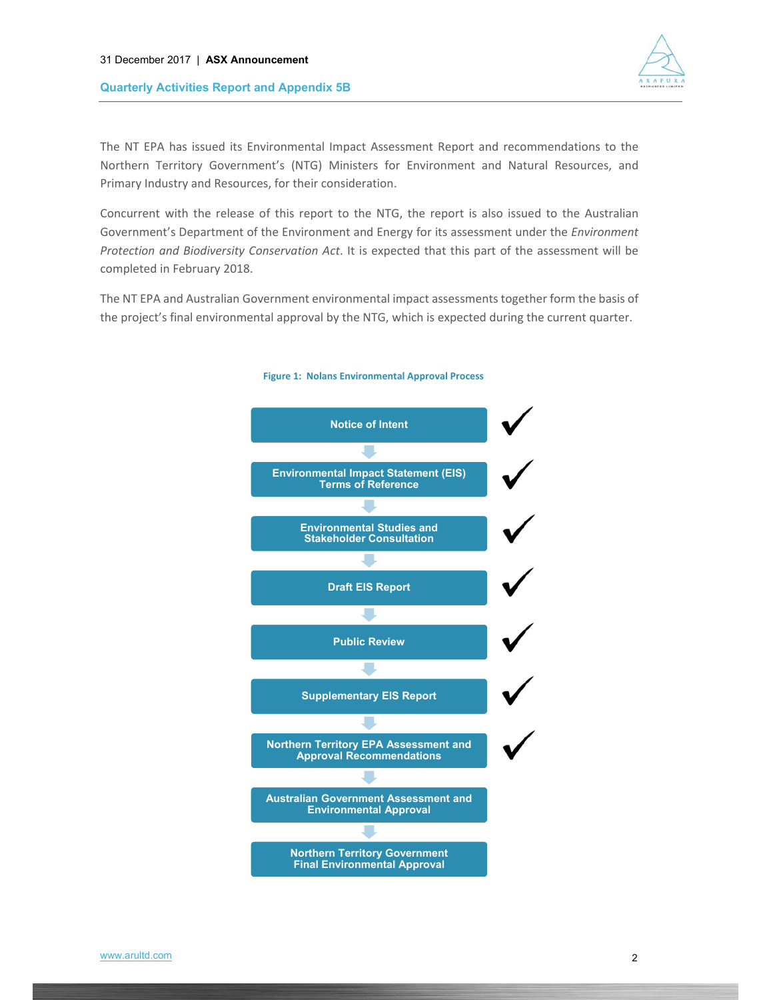

The NT EPA has issued its Environmental Impact Assessment Report and recommendations to the Northern Territory Government's (NTG) Ministers for Environment and Natural Resources, and Primary Industry and Resources, for their consideration.

Concurrent with the release of this report to the NTG, the report is also issued to the Australian Government's Department of the Environment and Energy for its assessment under the *Environment Protection and Biodiversity Conservation Act*. It is expected that this part of the assessment will be completed in February 2018.

The NT EPA and Australian Government environmental impact assessments together form the basis of the project's final environmental approval by the NTG, which is expected during the current quarter.



#### **Figure 1: Nolans Environmental Approval Process**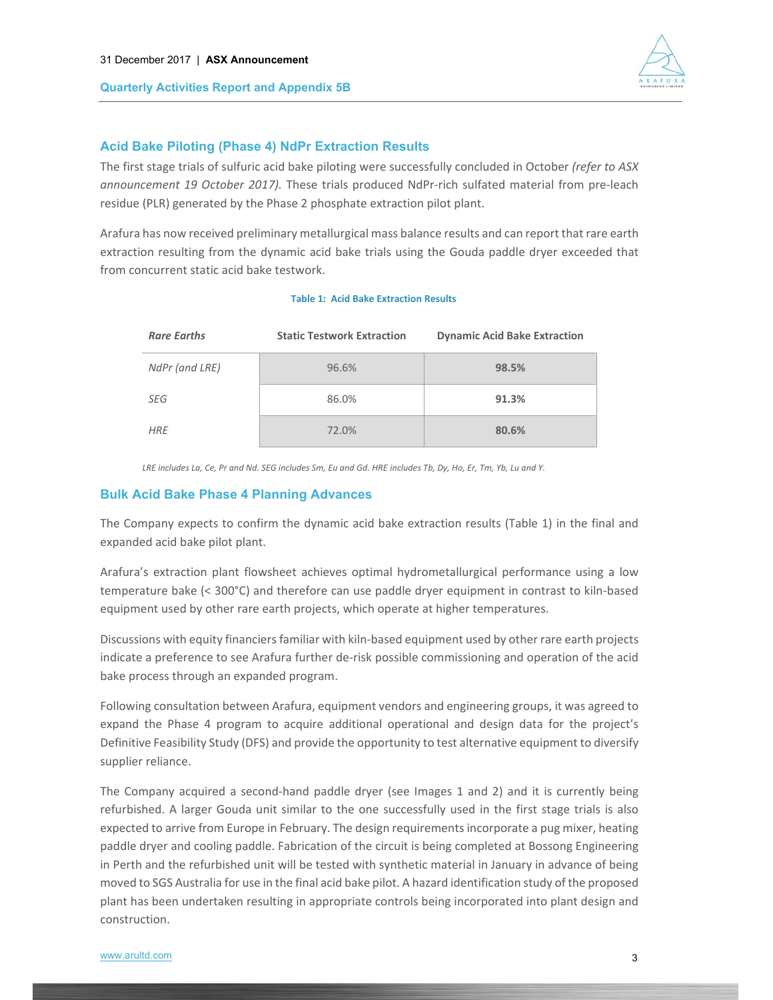

## **Acid Bake Piloting (Phase 4) NdPr Extraction Results**

The first stage trials of sulfuric acid bake piloting were successfully concluded in October *(refer to ASX announcement 19 October 2017).* These trials produced NdPr-rich sulfated material from pre-leach residue (PLR) generated by the Phase 2 phosphate extraction pilot plant.

Arafura has now received preliminary metallurgical mass balance results and can report that rare earth extraction resulting from the dynamic acid bake trials using the Gouda paddle dryer exceeded that from concurrent static acid bake testwork.

#### **Table 1: Acid Bake Extraction Results**

| <b>Rare Earths</b> | <b>Static Testwork Extraction</b> | <b>Dynamic Acid Bake Extraction</b> |
|--------------------|-----------------------------------|-------------------------------------|
| NdPr (and LRE)     | 96.6%                             | 98.5%                               |
| SEG                | 86.0%                             | 91.3%                               |
| <b>HRE</b>         | 72.0%                             | 80.6%                               |

*LRE includes La, Ce, Pr and Nd. SEG includes Sm, Eu and Gd. HRE includes Tb, Dy, Ho, Er, Tm, Yb, Lu and Y.* 

### **Bulk Acid Bake Phase 4 Planning Advances**

The Company expects to confirm the dynamic acid bake extraction results (Table 1) in the final and expanded acid bake pilot plant.

Arafura's extraction plant flowsheet achieves optimal hydrometallurgical performance using a low temperature bake (< 300°C) and therefore can use paddle dryer equipment in contrast to kiln-based equipment used by other rare earth projects, which operate at higher temperatures.

Discussions with equity financiers familiar with kiln‐based equipment used by other rare earth projects indicate a preference to see Arafura further de‐risk possible commissioning and operation of the acid bake process through an expanded program.

Following consultation between Arafura, equipment vendors and engineering groups, it was agreed to expand the Phase 4 program to acquire additional operational and design data for the project's Definitive Feasibility Study (DFS) and provide the opportunity to test alternative equipment to diversify supplier reliance.

The Company acquired a second-hand paddle dryer (see Images 1 and 2) and it is currently being refurbished. A larger Gouda unit similar to the one successfully used in the first stage trials is also expected to arrive from Europe in February. The design requirements incorporate a pug mixer, heating paddle dryer and cooling paddle. Fabrication of the circuit is being completed at Bossong Engineering in Perth and the refurbished unit will be tested with synthetic material in January in advance of being moved to SGS Australia for use in the final acid bake pilot. A hazard identification study of the proposed plant has been undertaken resulting in appropriate controls being incorporated into plant design and construction.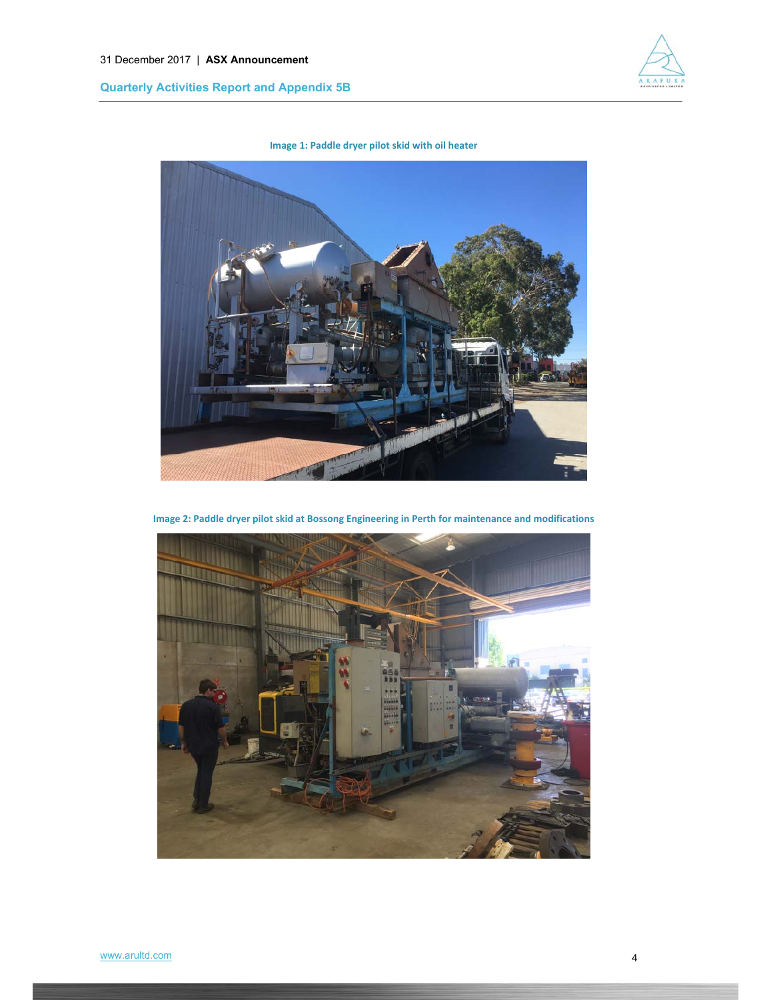

**Image 1: Paddle dryer pilot skid with oil heater**



**Image 2: Paddle dryer pilot skid at Bossong Engineering in Perth for maintenance and modifications**

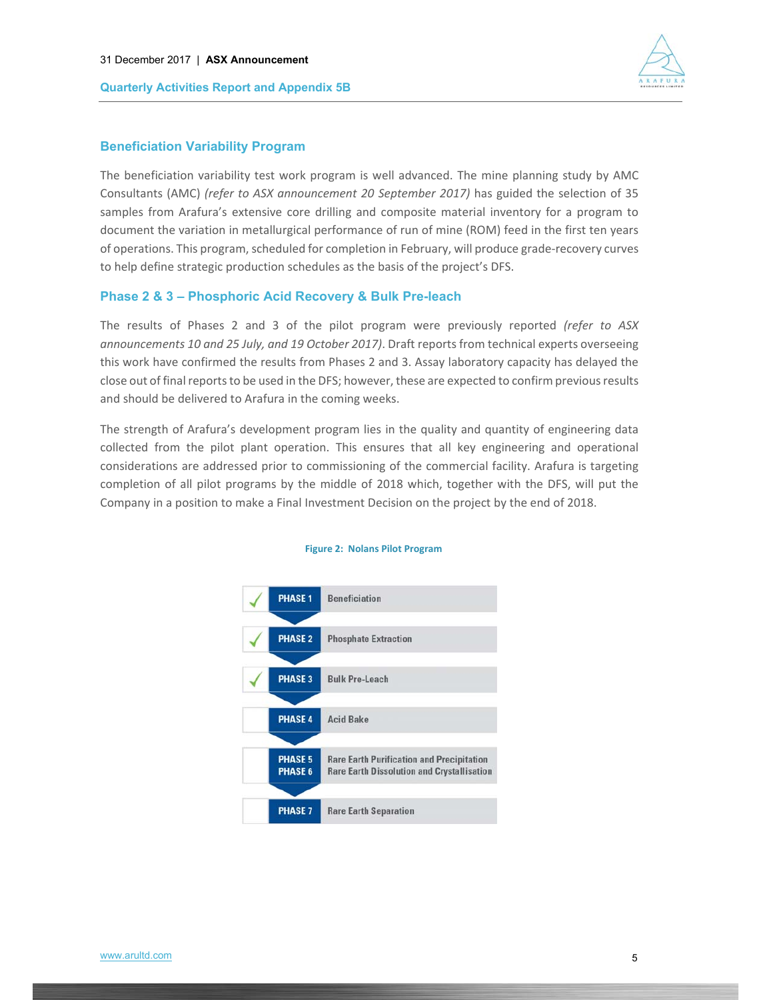



#### **Beneficiation Variability Program**

The beneficiation variability test work program is well advanced. The mine planning study by AMC Consultants (AMC) *(refer to ASX announcement 20 September 2017)* has guided the selection of 35 samples from Arafura's extensive core drilling and composite material inventory for a program to document the variation in metallurgical performance of run of mine (ROM) feed in the first ten years of operations. This program, scheduled for completion in February, will produce grade‐recovery curves to help define strategic production schedules as the basis of the project's DFS.

#### **Phase 2 & 3 – Phosphoric Acid Recovery & Bulk Pre-leach**

The results of Phases 2 and 3 of the pilot program were previously reported *(refer to ASX announcements 10 and 25 July, and 19 October 2017)*. Draft reports from technical experts overseeing this work have confirmed the results from Phases 2 and 3. Assay laboratory capacity has delayed the close out of final reports to be used in the DFS; however, these are expected to confirm previous results and should be delivered to Arafura in the coming weeks.

The strength of Arafura's development program lies in the quality and quantity of engineering data collected from the pilot plant operation. This ensures that all key engineering and operational considerations are addressed prior to commissioning of the commercial facility. Arafura is targeting completion of all pilot programs by the middle of 2018 which, together with the DFS, will put the Company in a position to make a Final Investment Decision on the project by the end of 2018.



#### **Figure 2: Nolans Pilot Program**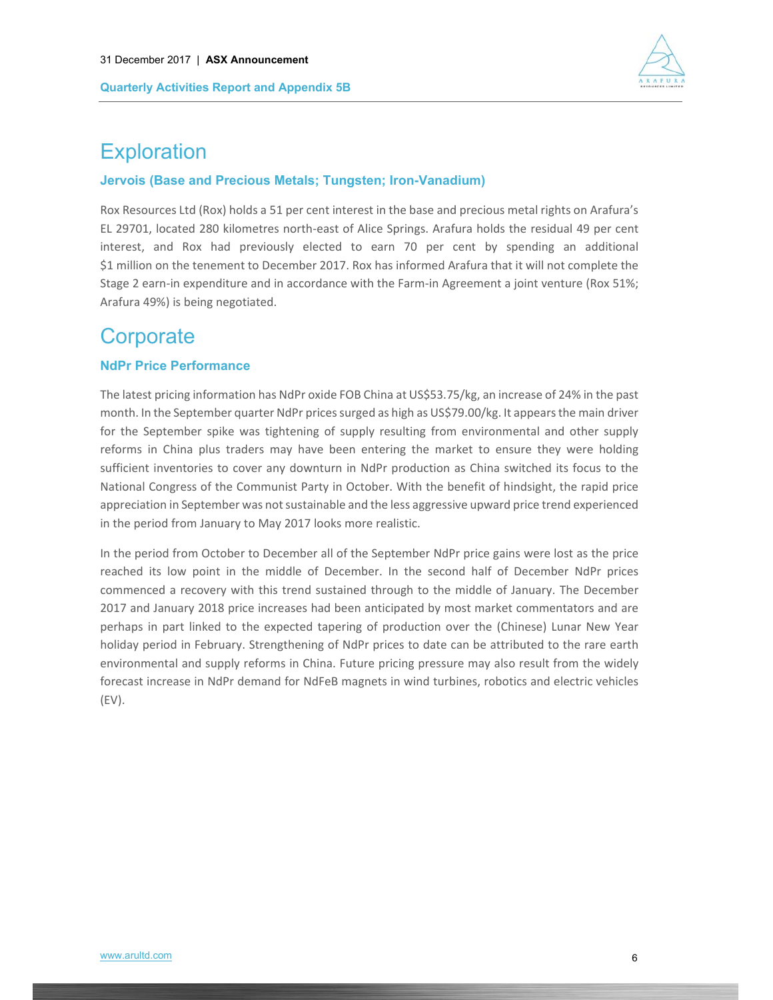

# **Exploration**

### **Jervois (Base and Precious Metals; Tungsten; Iron-Vanadium)**

Rox Resources Ltd (Rox) holds a 51 per cent interest in the base and precious metal rights on Arafura's EL 29701, located 280 kilometres north‐east of Alice Springs. Arafura holds the residual 49 per cent interest, and Rox had previously elected to earn 70 per cent by spending an additional \$1 million on the tenement to December 2017. Rox has informed Arafura that it will not complete the Stage 2 earn-in expenditure and in accordance with the Farm-in Agreement a joint venture (Rox 51%; Arafura 49%) is being negotiated.

# **Corporate**

### **NdPr Price Performance**

The latest pricing information has NdPr oxide FOB China at US\$53.75/kg, an increase of 24% in the past month. In the September quarter NdPr prices surged as high as US\$79.00/kg. It appears the main driver for the September spike was tightening of supply resulting from environmental and other supply reforms in China plus traders may have been entering the market to ensure they were holding sufficient inventories to cover any downturn in NdPr production as China switched its focus to the National Congress of the Communist Party in October. With the benefit of hindsight, the rapid price appreciation in September was not sustainable and the less aggressive upward price trend experienced in the period from January to May 2017 looks more realistic.

In the period from October to December all of the September NdPr price gains were lost as the price reached its low point in the middle of December. In the second half of December NdPr prices commenced a recovery with this trend sustained through to the middle of January. The December 2017 and January 2018 price increases had been anticipated by most market commentators and are perhaps in part linked to the expected tapering of production over the (Chinese) Lunar New Year holiday period in February. Strengthening of NdPr prices to date can be attributed to the rare earth environmental and supply reforms in China. Future pricing pressure may also result from the widely forecast increase in NdPr demand for NdFeB magnets in wind turbines, robotics and electric vehicles (EV).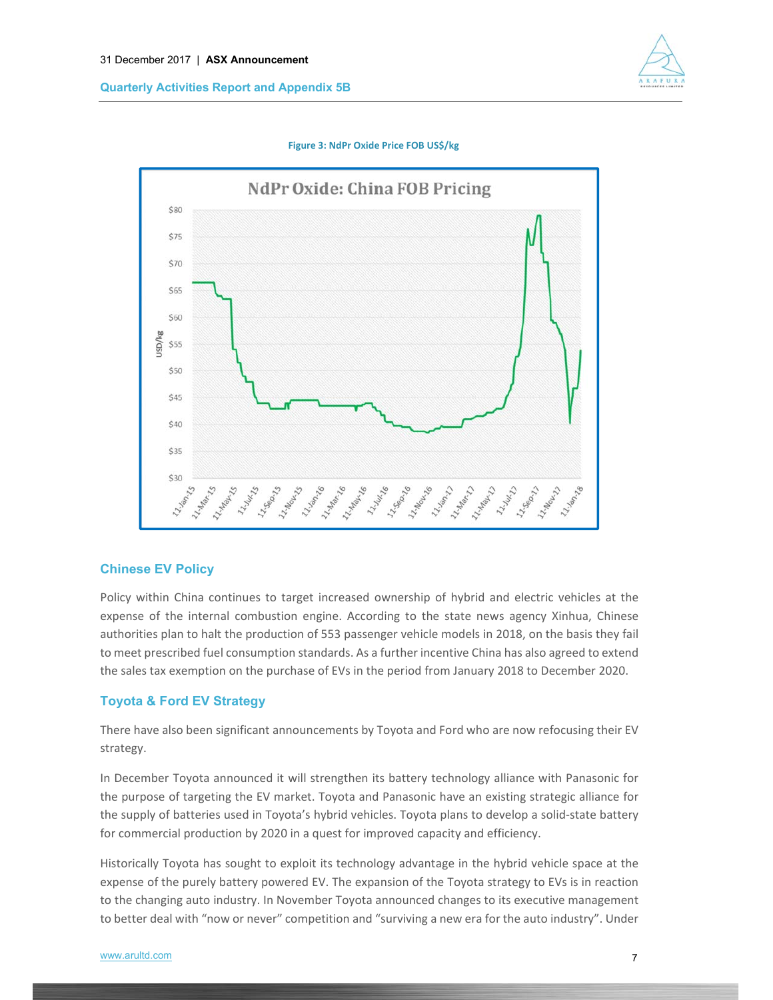

**Figure 3: NdPr Oxide Price FOB US\$/kg** 



### **Chinese EV Policy**

Policy within China continues to target increased ownership of hybrid and electric vehicles at the expense of the internal combustion engine. According to the state news agency Xinhua, Chinese authorities plan to halt the production of 553 passenger vehicle models in 2018, on the basis they fail to meet prescribed fuel consumption standards. As a further incentive China has also agreed to extend the sales tax exemption on the purchase of EVs in the period from January 2018 to December 2020.

### **Toyota & Ford EV Strategy**

There have also been significant announcements by Toyota and Ford who are now refocusing their EV strategy.

In December Toyota announced it will strengthen its battery technology alliance with Panasonic for the purpose of targeting the EV market. Toyota and Panasonic have an existing strategic alliance for the supply of batteries used in Toyota's hybrid vehicles. Toyota plans to develop a solid‐state battery for commercial production by 2020 in a quest for improved capacity and efficiency.

Historically Toyota has sought to exploit its technology advantage in the hybrid vehicle space at the expense of the purely battery powered EV. The expansion of the Toyota strategy to EVs is in reaction to the changing auto industry. In November Toyota announced changes to its executive management to better deal with "now or never" competition and "surviving a new era for the auto industry". Under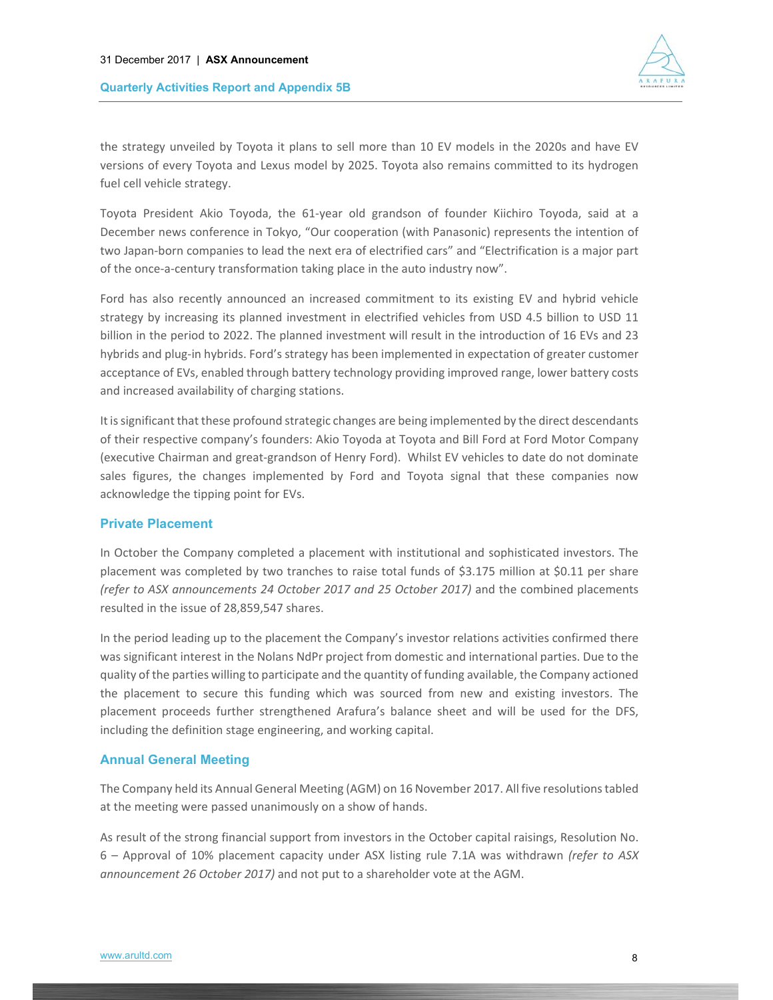

the strategy unveiled by Toyota it plans to sell more than 10 EV models in the 2020s and have EV versions of every Toyota and Lexus model by 2025. Toyota also remains committed to its hydrogen fuel cell vehicle strategy.

Toyota President Akio Toyoda, the 61‐year old grandson of founder Kiichiro Toyoda, said at a December news conference in Tokyo, "Our cooperation (with Panasonic) represents the intention of two Japan‐born companies to lead the next era of electrified cars" and "Electrification is a major part of the once-a-century transformation taking place in the auto industry now".

Ford has also recently announced an increased commitment to its existing EV and hybrid vehicle strategy by increasing its planned investment in electrified vehicles from USD 4.5 billion to USD 11 billion in the period to 2022. The planned investment will result in the introduction of 16 EVs and 23 hybrids and plug-in hybrids. Ford's strategy has been implemented in expectation of greater customer acceptance of EVs, enabled through battery technology providing improved range, lower battery costs and increased availability of charging stations.

It is significant that these profound strategic changes are being implemented by the direct descendants of their respective company's founders: Akio Toyoda at Toyota and Bill Ford at Ford Motor Company (executive Chairman and great‐grandson of Henry Ford). Whilst EV vehicles to date do not dominate sales figures, the changes implemented by Ford and Toyota signal that these companies now acknowledge the tipping point for EVs.

### **Private Placement**

In October the Company completed a placement with institutional and sophisticated investors. The placement was completed by two tranches to raise total funds of \$3.175 million at \$0.11 per share *(refer to ASX announcements 24 October 2017 and 25 October 2017)* and the combined placements resulted in the issue of 28,859,547 shares.

In the period leading up to the placement the Company's investor relations activities confirmed there was significant interest in the Nolans NdPr project from domestic and international parties. Due to the quality of the parties willing to participate and the quantity of funding available, the Company actioned the placement to secure this funding which was sourced from new and existing investors. The placement proceeds further strengthened Arafura's balance sheet and will be used for the DFS, including the definition stage engineering, and working capital.

### **Annual General Meeting**

The Company held its Annual General Meeting (AGM) on 16 November 2017. All five resolutions tabled at the meeting were passed unanimously on a show of hands.

As result of the strong financial support from investors in the October capital raisings, Resolution No. 6 – Approval of 10% placement capacity under ASX listing rule 7.1A was withdrawn *(refer to ASX announcement 26 October 2017)* and not put to a shareholder vote at the AGM.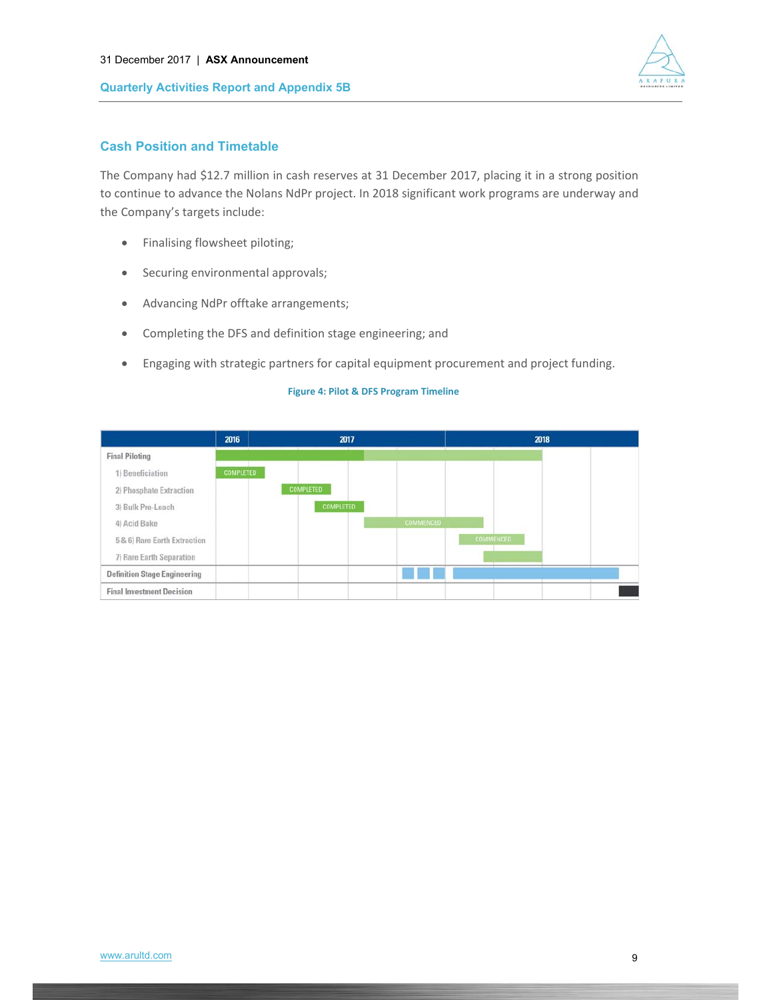

## **Cash Position and Timetable**

The Company had \$12.7 million in cash reserves at 31 December 2017, placing it in a strong position to continue to advance the Nolans NdPr project. In 2018 significant work programs are underway and the Company's targets include:

- Finalising flowsheet piloting;
- Securing environmental approvals;
- Advancing NdPr offtake arrangements;
- Completing the DFS and definition stage engineering; and
- Engaging with strategic partners for capital equipment procurement and project funding.

|                                     | 2016             | 2017             | 2018             |
|-------------------------------------|------------------|------------------|------------------|
| <b>Final Piloting</b>               |                  |                  |                  |
| 1) Beneficiation                    | <b>COMPLETED</b> |                  |                  |
| 2) Phosphate Extraction             |                  | <b>COMPLETED</b> |                  |
| 3) Bulk Pre-Leach                   |                  | <b>COMPLETED</b> |                  |
| 4) Acid Bake                        |                  | <b>COMMENCED</b> |                  |
| 5 & 6) Rare Earth Extraction        |                  |                  | <b>COMMENCED</b> |
| 7) Rare Earth Separation            |                  |                  |                  |
| <b>Definition Stage Engineering</b> |                  |                  |                  |
| <b>Final Investment Decision</b>    |                  |                  |                  |

#### **Figure 4: Pilot & DFS Program Timeline**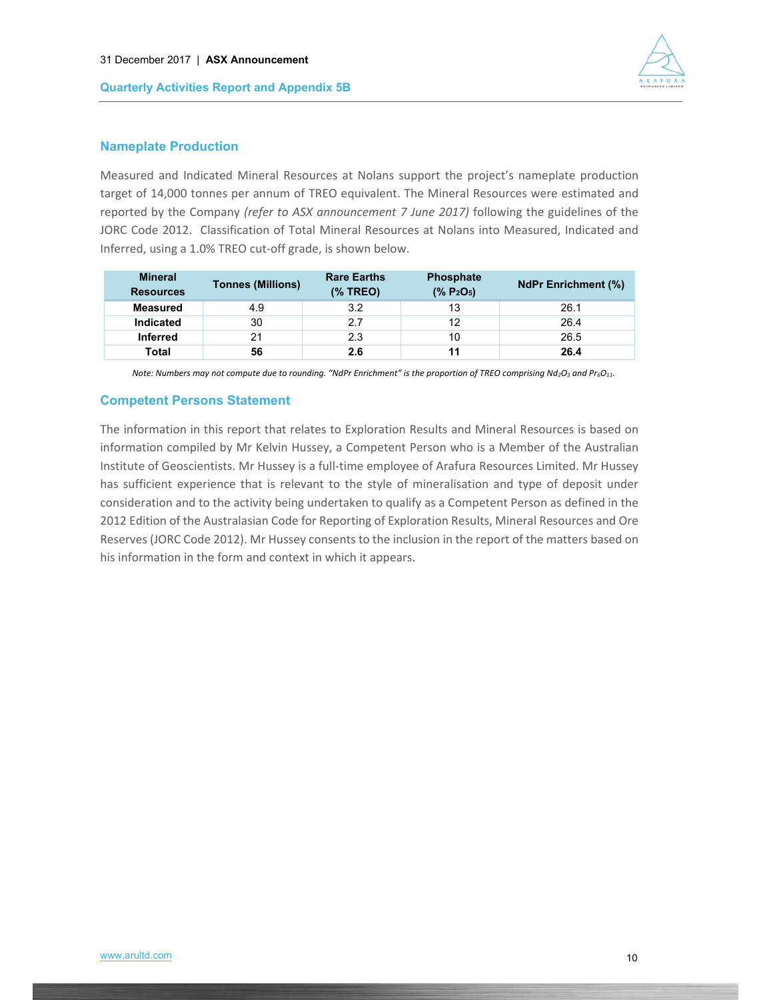

### **Nameplate Production**

Measured and Indicated Mineral Resources at Nolans support the project's nameplate production target of 14,000 tonnes per annum of TREO equivalent. The Mineral Resources were estimated and reported by the Company *(refer to ASX announcement 7 June 2017)* following the guidelines of the JORC Code 2012. Classification of Total Mineral Resources at Nolans into Measured, Indicated and Inferred, using a 1.0% TREO cut‐off grade, is shown below.

| <b>Mineral</b><br><b>Resources</b> | <b>Tonnes (Millions)</b> |     | <b>Phosphate</b><br>$(*6 P2O5)$ | <b>NdPr Enrichment (%)</b> |  |
|------------------------------------|--------------------------|-----|---------------------------------|----------------------------|--|
| <b>Measured</b>                    | 4.9                      | 3.2 | 13                              | 26.1                       |  |
| <b>Indicated</b>                   | 30                       | 27  | 12                              | 26.4                       |  |
| <b>Inferred</b>                    | 21                       | 2.3 | 10                              | 26.5                       |  |
| Total                              | 56                       | 2.6 |                                 | 26.4                       |  |

*Note: Numbers may not compute due to rounding. "NdPr Enrichment" is the proportion of TREO comprising Nd<sub>2</sub>O<sub>3</sub> and Pr<sub>6</sub>O<sub>11</sub>.* 

### **Competent Persons Statement**

The information in this report that relates to Exploration Results and Mineral Resources is based on information compiled by Mr Kelvin Hussey, a Competent Person who is a Member of the Australian Institute of Geoscientists. Mr Hussey is a full‐time employee of Arafura Resources Limited. Mr Hussey has sufficient experience that is relevant to the style of mineralisation and type of deposit under consideration and to the activity being undertaken to qualify as a Competent Person as defined in the 2012 Edition of the Australasian Code for Reporting of Exploration Results, Mineral Resources and Ore Reserves (JORC Code 2012). Mr Hussey consents to the inclusion in the report of the matters based on his information in the form and context in which it appears.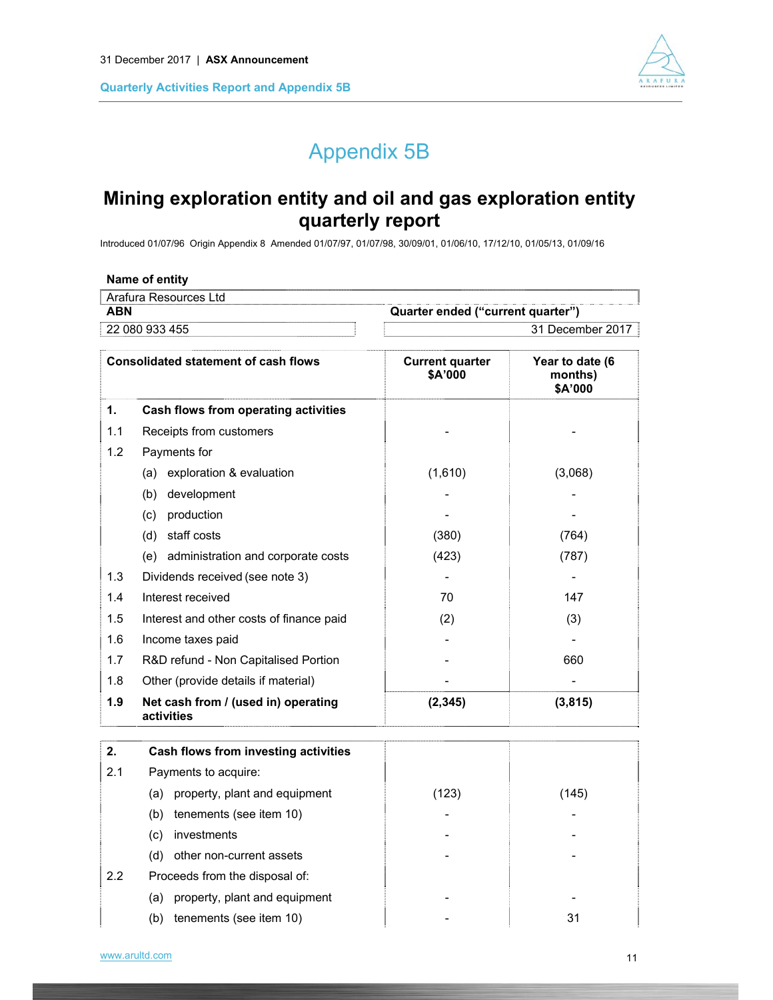

# Appendix 5B

# **Mining exploration entity and oil and gas exploration entity quarterly report**

Introduced 01/07/96 Origin Appendix 8 Amended 01/07/97, 01/07/98, 30/09/01, 01/06/10, 17/12/10, 01/05/13, 01/09/16

|            | Name of entity                                    |                                   |                                       |
|------------|---------------------------------------------------|-----------------------------------|---------------------------------------|
|            | Arafura Resources Ltd                             |                                   |                                       |
| <b>ABN</b> |                                                   | Quarter ended ("current quarter") |                                       |
|            | 22 080 933 455                                    |                                   | 31 December 2017                      |
|            | <b>Consolidated statement of cash flows</b>       | <b>Current quarter</b><br>\$A'000 | Year to date (6<br>months)<br>\$A'000 |
| 1.         | Cash flows from operating activities              |                                   |                                       |
| 1.1        | Receipts from customers                           |                                   |                                       |
| 1.2        | Payments for                                      |                                   |                                       |
|            | exploration & evaluation<br>(a)                   | (1,610)                           | (3,068)                               |
|            | (b) development                                   |                                   |                                       |
|            | (c) production                                    |                                   |                                       |
|            | (d) staff costs                                   | (380)                             | (764)                                 |
|            | (e) administration and corporate costs            | (423)                             | (787)                                 |
| 1.3        | Dividends received (see note 3)                   |                                   |                                       |
| 1.4        | Interest received                                 | 70                                | 147                                   |
| 1.5        | Interest and other costs of finance paid          | (2)                               | (3)                                   |
| 1.6        | Income taxes paid                                 |                                   |                                       |
| 1.7        | R&D refund - Non Capitalised Portion              |                                   | 660                                   |
| 1.8        | Other (provide details if material)               |                                   |                                       |
| 1.9        | Net cash from / (used in) operating<br>activities | (2, 345)                          | (3, 815)                              |
| 2.         | Cash flows from investing activities              |                                   |                                       |
| 2.1        | Payments to acquire:                              |                                   |                                       |
|            | (a) property, plant and equipment                 | (123)                             | (145)                                 |
|            | (b)<br>tenements (see item 10)                    |                                   |                                       |
|            | investments<br>(c)                                |                                   |                                       |
|            | other non-current assets<br>(d)                   |                                   |                                       |
| 2.2        | Proceeds from the disposal of:                    |                                   |                                       |

(a) property, plant and equipment example and  $\overline{\phantom{a}}$  -(b) tenements (see item 10)  $\vert$  -  $\vert$  31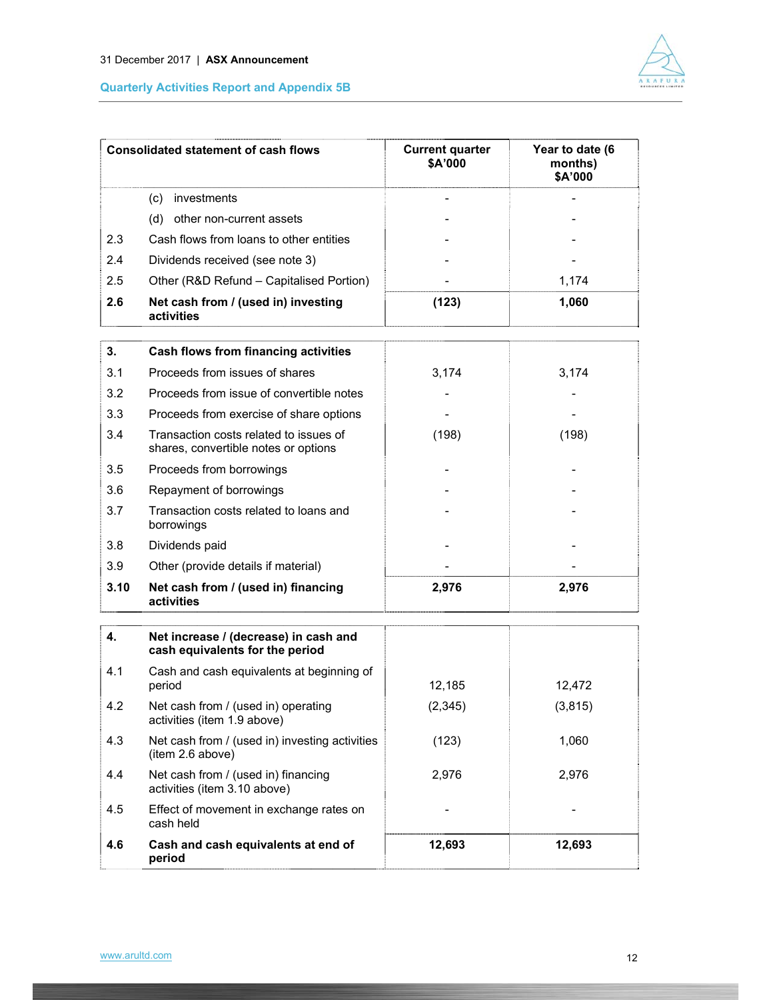

|      | <b>Consolidated statement of cash flows</b>                                    | <b>Current quarter</b><br>\$A'000 | Year to date (6<br>months)<br>\$A'000 |
|------|--------------------------------------------------------------------------------|-----------------------------------|---------------------------------------|
|      | investments<br>(c)                                                             |                                   |                                       |
|      | (d)<br>other non-current assets                                                |                                   |                                       |
| 2.3  | Cash flows from loans to other entities                                        |                                   |                                       |
| 2.4  | Dividends received (see note 3)                                                |                                   |                                       |
| 2.5  | Other (R&D Refund - Capitalised Portion)                                       |                                   | 1,174                                 |
| 2.6  | Net cash from / (used in) investing<br>activities                              | (123)                             | 1,060                                 |
| 3.   | Cash flows from financing activities                                           |                                   |                                       |
| 3.1  | Proceeds from issues of shares                                                 | 3,174                             | 3,174                                 |
| 3.2  | Proceeds from issue of convertible notes                                       |                                   |                                       |
| 3.3  | Proceeds from exercise of share options                                        |                                   |                                       |
| 3.4  | Transaction costs related to issues of<br>shares, convertible notes or options | (198)                             | (198)                                 |
| 3.5  | Proceeds from borrowings                                                       |                                   |                                       |
| 3.6  | Repayment of borrowings                                                        |                                   |                                       |
| 3.7  | Transaction costs related to loans and<br>borrowings                           |                                   |                                       |
| 3.8  | Dividends paid                                                                 |                                   |                                       |
| 3.9  | Other (provide details if material)                                            |                                   |                                       |
| 3.10 | Net cash from / (used in) financing<br>activities                              | 2,976                             | 2,976                                 |
| 4.   | Net increase / (decrease) in cash and<br>cash equivalents for the period       |                                   |                                       |
| 4.1  | Cash and cash equivalents at beginning of<br>period                            | 12,185                            | 12,472                                |
| 4.2  | Net cash from / (used in) operating<br>activities (item 1.9 above)             | (2, 345)                          | (3, 815)                              |
| 4.3  | Net cash from / (used in) investing activities<br>(item 2.6 above)             | (123)                             | 1,060                                 |
| 4.4  | Net cash from / (used in) financing<br>activities (item 3.10 above)            | 2,976                             | 2,976                                 |
| 4.5  | Effect of movement in exchange rates on<br>cash held                           |                                   |                                       |
| 4.6  | Cash and cash equivalents at end of<br>period                                  | 12,693                            | 12,693                                |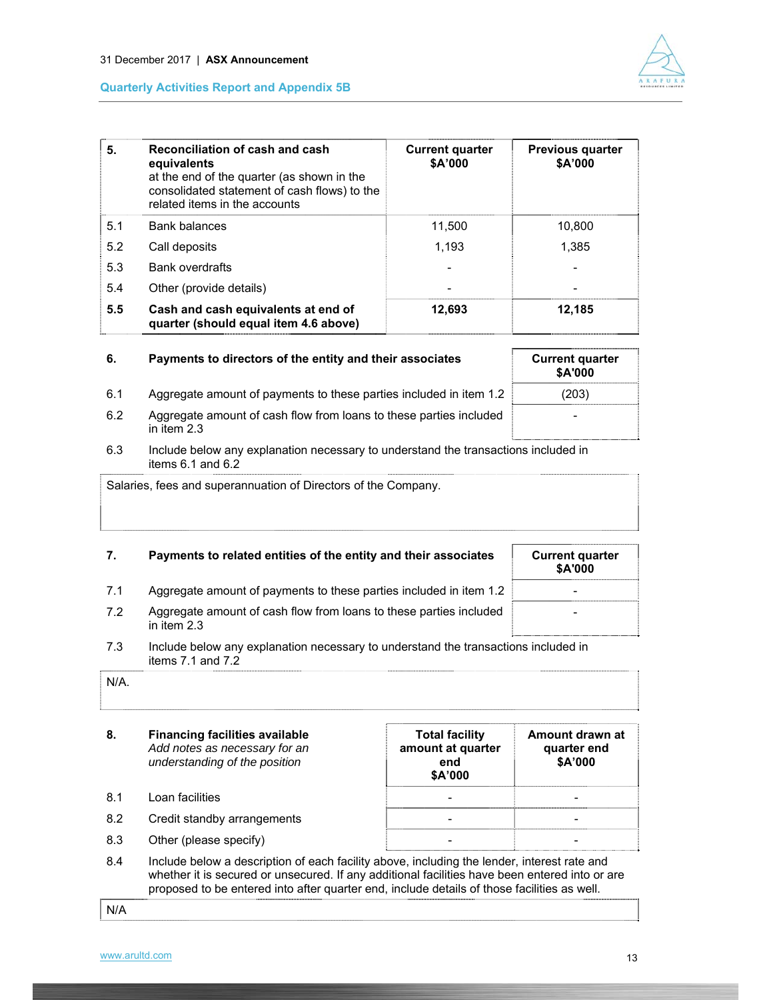



| 5.  | Reconciliation of cash and cash<br>equivalents<br>at the end of the quarter (as shown in the<br>consolidated statement of cash flows) to the<br>related items in the accounts | <b>Current quarter</b><br>\$A'000 | Previous quarter<br>\$A'000 |
|-----|-------------------------------------------------------------------------------------------------------------------------------------------------------------------------------|-----------------------------------|-----------------------------|
| 5.1 | Bank balances                                                                                                                                                                 | 11,500                            | 10,800                      |
| 5.2 | Call deposits                                                                                                                                                                 | 1.193                             | 1.385                       |
| 5.3 | Bank overdrafts                                                                                                                                                               |                                   |                             |
| 5.4 | Other (provide details)                                                                                                                                                       |                                   |                             |
| 5.5 | Cash and cash equivalents at end of<br>quarter (should equal item 4.6 above)                                                                                                  | 12,693                            | 12,185                      |

| 6.  | Payments to directors of the entity and their associates                            | <b>Current quarter</b><br>\$A'000 |
|-----|-------------------------------------------------------------------------------------|-----------------------------------|
| 6.1 | Aggregate amount of payments to these parties included in item 1.2                  | (203)                             |
| 6.2 | Aggregate amount of cash flow from loans to these parties included<br>in item $2.3$ | -                                 |

6.3 Include below any explanation necessary to understand the transactions included in items 6.1 and 6.2

Salaries, fees and superannuation of Directors of the Company.

| 7.  | Payments to related entities of the entity and their associates                     | <b>Current quarter</b><br><b>\$A'000</b> |
|-----|-------------------------------------------------------------------------------------|------------------------------------------|
| 7.1 | Aggregate amount of payments to these parties included in item 1.2                  | -                                        |
| 7.2 | Aggregate amount of cash flow from loans to these parties included<br>in item $2.3$ | -                                        |

7.3 Include below any explanation necessary to understand the transactions included in items 7.1 and 7.2

**8. Financing facilities available** *Add notes as necessary for an understanding of the position* **Total facility amount at quarter end \$A'000 Amount drawn at quarter end \$A'000**  8.1 Loan facilities and the set of the set of the set of the set of the set of the set of the set of the set of the set of the set of the set of the set of the set of the set of the set of the set of the set of the set of 8.2 Credit standby arrangements and the standard of the standard standard standard standard control of the standard standard standard standard standard standard standard standard standard standard standard standard standar 8.3 Other (please specify) and the set of the set of the set of the set of the set of the set of the set of the set of the set of the set of the set of the set of the set of the set of the set of the set of the set of the

8.4 Include below a description of each facility above, including the lender, interest rate and whether it is secured or unsecured. If any additional facilities have been entered into or are proposed to be entered into after quarter end, include details of those facilities as well.

N/A

N/A.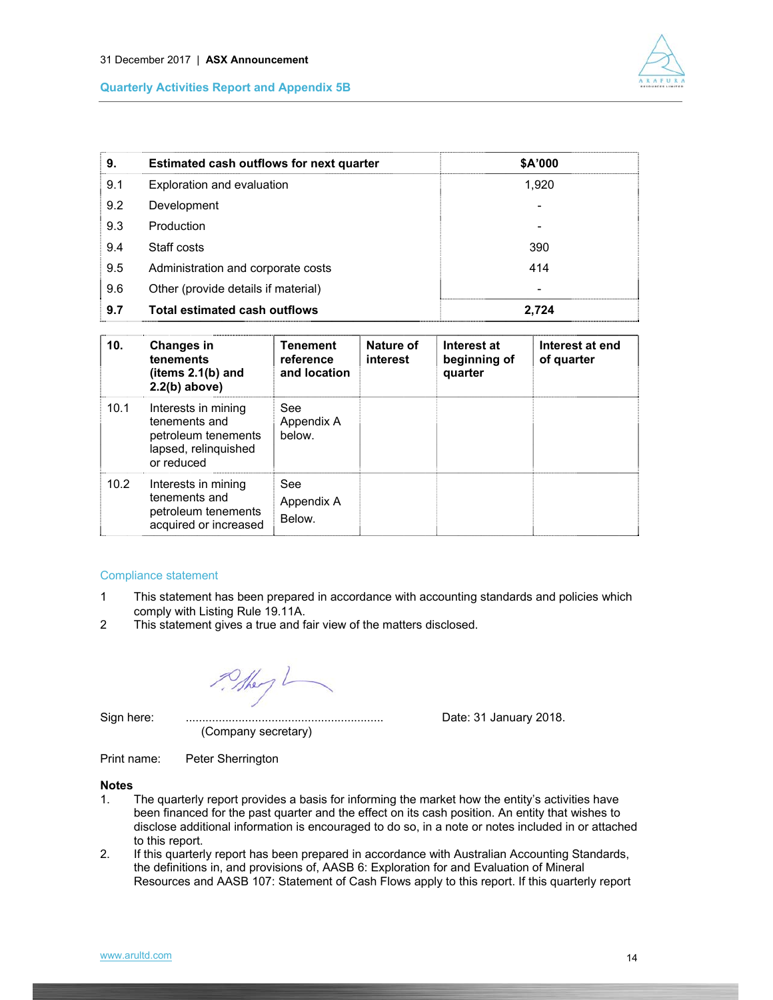

| 9.  | <b>Estimated cash outflows for next quarter</b> | \$A'000 |
|-----|-------------------------------------------------|---------|
| 9.1 | Exploration and evaluation                      | 1.920   |
| 9.2 | Development                                     |         |
| 9.3 | Production                                      |         |
| 9.4 | Staff costs                                     | 390     |
| 9.5 | Administration and corporate costs              | 414     |
| 9.6 | Other (provide details if material)             | ۰       |
| 9.7 | <b>Total estimated cash outflows</b>            | 2.724   |

| 10.  | <b>Changes in</b><br>tenements<br>(items $2.1(b)$ and<br>$2.2(b)$ above)                          | <b>Tenement</b><br>reference<br>and location | Nature of<br>interest | Interest at<br>beginning of<br>quarter | Interest at end<br>of quarter |
|------|---------------------------------------------------------------------------------------------------|----------------------------------------------|-----------------------|----------------------------------------|-------------------------------|
| 10.1 | Interests in mining<br>tenements and<br>petroleum tenements<br>lapsed, relinguished<br>or reduced | See<br>Appendix A<br>below.                  |                       |                                        |                               |
| 10.2 | Interests in mining<br>tenements and<br>petroleum tenements<br>acquired or increased              | See<br>Appendix A<br>Below.                  |                       |                                        |                               |

#### Compliance statement

- 1 This statement has been prepared in accordance with accounting standards and policies which comply with Listing Rule 19.11A.
- 2 This statement gives a true and fair view of the matters disclosed.

They

Sign here:

(Company secretary)

Sign here: ............................................................ Date: 31 January 2018.

Print name: Peter Sherrington

#### **Notes**

- 1. The quarterly report provides a basis for informing the market how the entity's activities have been financed for the past quarter and the effect on its cash position. An entity that wishes to disclose additional information is encouraged to do so, in a note or notes included in or attached to this report.
- 2. If this quarterly report has been prepared in accordance with Australian Accounting Standards, the definitions in, and provisions of, AASB 6: Exploration for and Evaluation of Mineral Resources and AASB 107: Statement of Cash Flows apply to this report. If this quarterly report